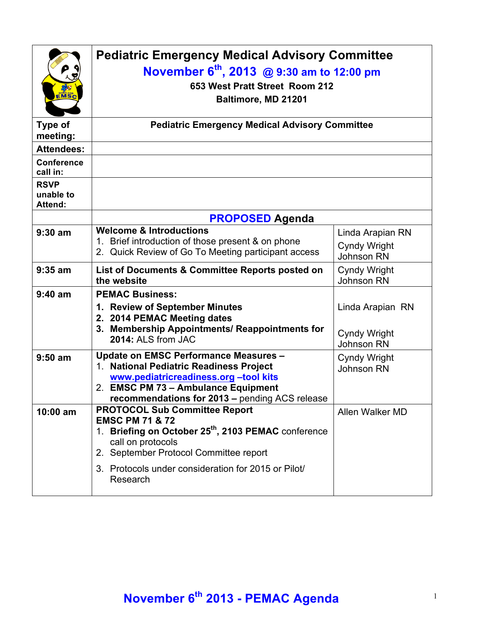| EMSC                                       | <b>Pediatric Emergency Medical Advisory Committee</b><br>November 6 <sup>th</sup> , 2013 @ 9:30 am to 12:00 pm<br>653 West Pratt Street Room 212<br>Baltimore, MD 21201                                                                                                 |                                                              |
|--------------------------------------------|-------------------------------------------------------------------------------------------------------------------------------------------------------------------------------------------------------------------------------------------------------------------------|--------------------------------------------------------------|
| <b>Type of</b><br>meeting:                 | <b>Pediatric Emergency Medical Advisory Committee</b>                                                                                                                                                                                                                   |                                                              |
| <b>Attendees:</b>                          |                                                                                                                                                                                                                                                                         |                                                              |
| <b>Conference</b><br>call in:              |                                                                                                                                                                                                                                                                         |                                                              |
| <b>RSVP</b><br>unable to<br><b>Attend:</b> |                                                                                                                                                                                                                                                                         |                                                              |
|                                            | <b>PROPOSED Agenda</b>                                                                                                                                                                                                                                                  |                                                              |
| $9:30$ am                                  | <b>Welcome &amp; Introductions</b><br>Brief introduction of those present & on phone<br>1.<br>2. Quick Review of Go To Meeting participant access                                                                                                                       | Linda Arapian RN<br>Cyndy Wright<br>Johnson RN               |
| $9:35$ am                                  | List of Documents & Committee Reports posted on<br>the website                                                                                                                                                                                                          | <b>Cyndy Wright</b><br>Johnson RN                            |
| $9:40$ am                                  | <b>PEMAC Business:</b>                                                                                                                                                                                                                                                  |                                                              |
|                                            | 1. Review of September Minutes<br>2. 2014 PEMAC Meeting dates<br>3. Membership Appointments/ Reappointments for<br>2014: ALS from JAC                                                                                                                                   | Linda Arapian RN<br><b>Cyndy Wright</b><br><b>Johnson RN</b> |
| $9:50$ am                                  | <b>Update on EMSC Performance Measures -</b><br>1. National Pediatric Readiness Project<br>www.pediatricreadiness.org -tool kits<br>2. EMSC PM 73 - Ambulance Equipment<br>recommendations for 2013 - pending ACS release                                               | <b>Cyndy Wright</b><br><b>Johnson RN</b>                     |
| 10:00 am                                   | <b>PROTOCOL Sub Committee Report</b><br><b>EMSC PM 71 &amp; 72</b><br>1. Briefing on October 25 <sup>th</sup> , 2103 PEMAC conference<br>call on protocols<br>2. September Protocol Committee report<br>3. Protocols under consideration for 2015 or Pilot/<br>Research | Allen Walker MD                                              |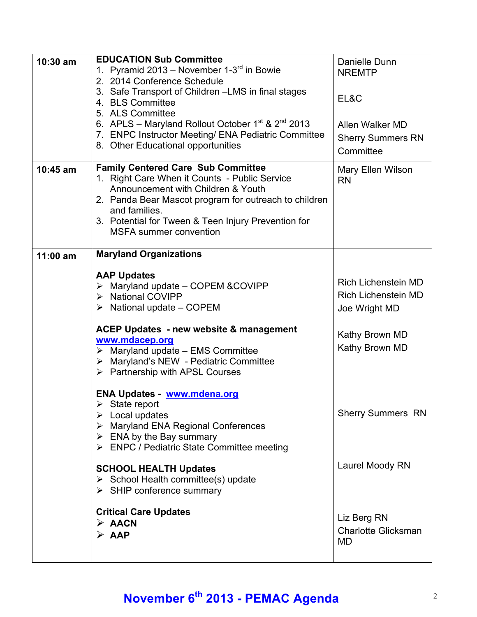| $10:30$ am | <b>EDUCATION Sub Committee</b>                                                       | Danielle Dunn              |
|------------|--------------------------------------------------------------------------------------|----------------------------|
|            | 1. Pyramid 2013 – November 1-3 $^{rd}$ in Bowie                                      | <b>NREMTP</b>              |
|            | 2. 2014 Conference Schedule                                                          |                            |
|            | 3. Safe Transport of Children - LMS in final stages                                  |                            |
|            | 4. BLS Committee                                                                     | EL&C                       |
|            | 5. ALS Committee                                                                     |                            |
|            | 6. APLS – Maryland Rollout October $1^{st}$ & $2^{nd}$ 2013                          | Allen Walker MD            |
|            | 7. ENPC Instructor Meeting/ ENA Pediatric Committee                                  | <b>Sherry Summers RN</b>   |
|            | 8. Other Educational opportunities                                                   | Committee                  |
|            |                                                                                      |                            |
| 10:45 am   | <b>Family Centered Care Sub Committee</b>                                            | Mary Ellen Wilson          |
|            | 1. Right Care When it Counts - Public Service                                        | <b>RN</b>                  |
|            | Announcement with Children & Youth                                                   |                            |
|            | 2. Panda Bear Mascot program for outreach to children                                |                            |
|            | and families.                                                                        |                            |
|            | 3. Potential for Tween & Teen Injury Prevention for<br><b>MSFA</b> summer convention |                            |
|            |                                                                                      |                            |
| $11:00$ am | <b>Maryland Organizations</b>                                                        |                            |
|            |                                                                                      |                            |
|            | <b>AAP Updates</b>                                                                   |                            |
|            | $\triangleright$ Maryland update - COPEM & COVIPP                                    | <b>Rich Lichenstein MD</b> |
|            | > National COVIPP                                                                    | <b>Rich Lichenstein MD</b> |
|            | $\triangleright$ National update – COPEM                                             | Joe Wright MD              |
|            |                                                                                      |                            |
|            | ACEP Updates - new website & management                                              | Kathy Brown MD             |
|            | www.mdacep.org                                                                       | Kathy Brown MD             |
|            | $\triangleright$ Maryland update - EMS Committee                                     |                            |
|            | > Maryland's NEW - Pediatric Committee                                               |                            |
|            | $\triangleright$ Partnership with APSL Courses                                       |                            |
|            |                                                                                      |                            |
|            |                                                                                      |                            |
|            | <b>ENA Updates - www.mdena.org</b>                                                   |                            |
|            | $\triangleright$ State report                                                        |                            |
|            | $\triangleright$ Local updates                                                       | <b>Sherry Summers RN</b>   |
|            | > Maryland ENA Regional Conferences                                                  |                            |
|            | $\triangleright$ ENA by the Bay summary                                              |                            |
|            | > ENPC / Pediatric State Committee meeting                                           |                            |
|            |                                                                                      | Laurel Moody RN            |
|            | <b>SCHOOL HEALTH Updates</b><br>$\triangleright$ School Health committee(s) update   |                            |
|            | $\triangleright$ SHIP conference summary                                             |                            |
|            |                                                                                      |                            |
|            | <b>Critical Care Updates</b>                                                         |                            |
|            | $\triangleright$ AACN                                                                | Liz Berg RN                |
|            | $\triangleright$ AAP                                                                 | <b>Charlotte Glicksman</b> |
|            |                                                                                      | MD                         |

## **November 6th 2013 - PEMAC Agenda** <sup>2</sup>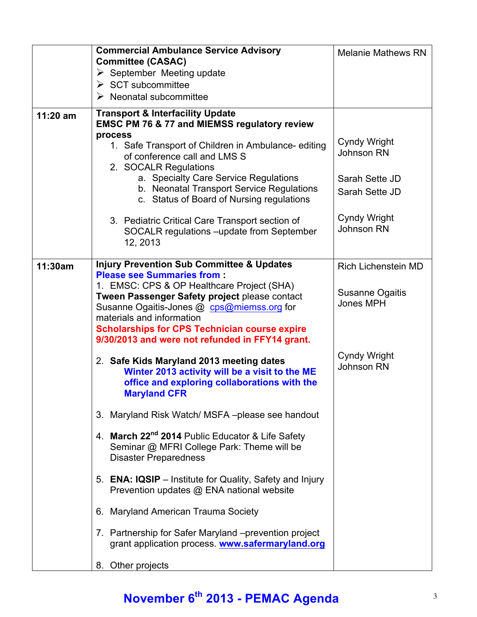|          | <b>Commercial Ambulance Service Advisory</b>                                                                                                                                                                                                                                      | <b>Melanie Mathews RN</b>         |
|----------|-----------------------------------------------------------------------------------------------------------------------------------------------------------------------------------------------------------------------------------------------------------------------------------|-----------------------------------|
|          | <b>Committee (CASAC)</b><br>$\triangleright$ September Meeting update                                                                                                                                                                                                             |                                   |
|          | $\triangleright$ SCT subcommittee                                                                                                                                                                                                                                                 |                                   |
|          | $\triangleright$ Neonatal subcommittee                                                                                                                                                                                                                                            |                                   |
| 11:20 am | <b>Transport &amp; Interfacility Update</b><br><b>EMSC PM 76 &amp; 77 and MIEMSS regulatory review</b>                                                                                                                                                                            |                                   |
|          | process<br>1. Safe Transport of Children in Ambulance-editing<br>of conference call and LMS S<br>2. SOCALR Regulations                                                                                                                                                            | Cyndy Wright<br>Johnson RN        |
|          | a. Specialty Care Service Regulations<br>b. Neonatal Transport Service Regulations<br>c. Status of Board of Nursing regulations                                                                                                                                                   | Sarah Sette JD<br>Sarah Sette JD  |
|          | 3. Pediatric Critical Care Transport section of<br>SOCALR regulations -update from September<br>12, 2013                                                                                                                                                                          | Cyndy Wright<br><b>Johnson RN</b> |
| 11:30am  | <b>Injury Prevention Sub Committee &amp; Updates</b><br><b>Please see Summaries from:</b>                                                                                                                                                                                         | <b>Rich Lichenstein MD</b>        |
|          | 1. EMSC: CPS & OP Healthcare Project (SHA)<br>Tween Passenger Safety project please contact<br>Susanne Ogaitis-Jones @ cps@miemss.org for<br>materials and information<br><b>Scholarships for CPS Technician course expire</b><br>9/30/2013 and were not refunded in FFY14 grant. | Susanne Ogaitis<br>Jones MPH      |
|          | 2. Safe Kids Maryland 2013 meeting dates<br>Winter 2013 activity will be a visit to the ME<br>office and exploring collaborations with the<br><b>Maryland CFR</b>                                                                                                                 | <b>Cyndy Wright</b><br>Johnson RN |
|          | Maryland Risk Watch/ MSFA-please see handout<br>3.                                                                                                                                                                                                                                |                                   |
|          | 4. March 22 <sup>nd</sup> 2014 Public Educator & Life Safety<br>Seminar @ MFRI College Park: Theme will be<br><b>Disaster Preparedness</b>                                                                                                                                        |                                   |
|          | 5. ENA: IQSIP – Institute for Quality, Safety and Injury<br>Prevention updates @ ENA national website                                                                                                                                                                             |                                   |
|          | 6. Maryland American Trauma Society                                                                                                                                                                                                                                               |                                   |
|          | 7. Partnership for Safer Maryland -prevention project<br>grant application process. www.safermaryland.org                                                                                                                                                                         |                                   |
|          | 8. Other projects                                                                                                                                                                                                                                                                 |                                   |

## **November 6th 2013 - PEMAC Agenda** <sup>3</sup>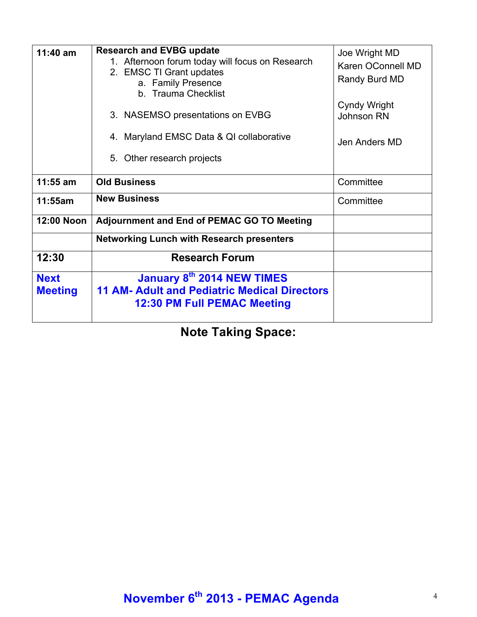| $11:40$ am                    | <b>Research and EVBG update</b><br>1. Afternoon forum today will focus on Research<br>2. EMSC TI Grant updates<br>a. Family Presence<br>b. Trauma Checklist<br>3. NASEMSO presentations on EVBG<br>4. Maryland EMSC Data & QI collaborative<br>5. Other research projects | Joe Wright MD<br>Karen OConnell MD<br>Randy Burd MD<br><b>Cyndy Wright</b><br>Johnson RN<br>Jen Anders MD |
|-------------------------------|---------------------------------------------------------------------------------------------------------------------------------------------------------------------------------------------------------------------------------------------------------------------------|-----------------------------------------------------------------------------------------------------------|
| $11:55$ am                    | <b>Old Business</b>                                                                                                                                                                                                                                                       | Committee                                                                                                 |
| 11:55am                       | <b>New Business</b>                                                                                                                                                                                                                                                       | Committee                                                                                                 |
| <b>12:00 Noon</b>             | <b>Adjournment and End of PEMAC GO TO Meeting</b>                                                                                                                                                                                                                         |                                                                                                           |
|                               | <b>Networking Lunch with Research presenters</b>                                                                                                                                                                                                                          |                                                                                                           |
| 12:30                         | <b>Research Forum</b>                                                                                                                                                                                                                                                     |                                                                                                           |
| <b>Next</b><br><b>Meeting</b> | January 8th 2014 NEW TIMES<br><b>11 AM- Adult and Pediatric Medical Directors</b><br>12:30 PM Full PEMAC Meeting                                                                                                                                                          |                                                                                                           |

**Note Taking Space:**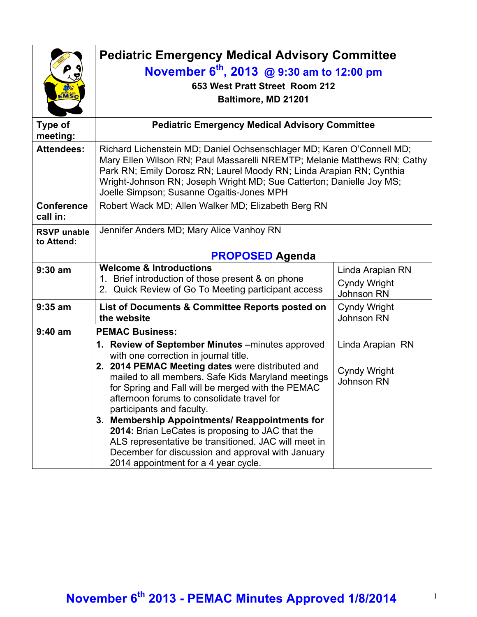| EMSC                             | <b>Pediatric Emergency Medical Advisory Committee</b><br>November $6^{th}$ , 2013 @ 9:30 am to 12:00 pm<br>653 West Pratt Street Room 212<br>Baltimore, MD 21201                                                                                                                                                                                                                                                                                                                                                                                                                                                          |                                                              |
|----------------------------------|---------------------------------------------------------------------------------------------------------------------------------------------------------------------------------------------------------------------------------------------------------------------------------------------------------------------------------------------------------------------------------------------------------------------------------------------------------------------------------------------------------------------------------------------------------------------------------------------------------------------------|--------------------------------------------------------------|
| <b>Type of</b><br>meeting:       | <b>Pediatric Emergency Medical Advisory Committee</b>                                                                                                                                                                                                                                                                                                                                                                                                                                                                                                                                                                     |                                                              |
| <b>Attendees:</b>                | Richard Lichenstein MD; Daniel Ochsenschlager MD; Karen O'Connell MD;<br>Mary Ellen Wilson RN; Paul Massarelli NREMTP; Melanie Matthews RN; Cathy<br>Park RN; Emily Dorosz RN; Laurel Moody RN; Linda Arapian RN; Cynthia<br>Wright-Johnson RN; Joseph Wright MD; Sue Catterton; Danielle Joy MS;<br>Joelle Simpson; Susanne Ogaitis-Jones MPH                                                                                                                                                                                                                                                                            |                                                              |
| <b>Conference</b><br>call in:    | Robert Wack MD; Allen Walker MD; Elizabeth Berg RN                                                                                                                                                                                                                                                                                                                                                                                                                                                                                                                                                                        |                                                              |
| <b>RSVP</b> unable<br>to Attend: | Jennifer Anders MD; Mary Alice Vanhoy RN                                                                                                                                                                                                                                                                                                                                                                                                                                                                                                                                                                                  |                                                              |
|                                  | <b>PROPOSED Agenda</b>                                                                                                                                                                                                                                                                                                                                                                                                                                                                                                                                                                                                    |                                                              |
| $9:30$ am                        | <b>Welcome &amp; Introductions</b><br>1. Brief introduction of those present & on phone<br>2. Quick Review of Go To Meeting participant access                                                                                                                                                                                                                                                                                                                                                                                                                                                                            | Linda Arapian RN<br><b>Cyndy Wright</b><br><b>Johnson RN</b> |
| $9:35$ am                        | List of Documents & Committee Reports posted on<br>the website                                                                                                                                                                                                                                                                                                                                                                                                                                                                                                                                                            | <b>Cyndy Wright</b><br><b>Johnson RN</b>                     |
| $9:40$ am                        | <b>PEMAC Business:</b><br>1. Review of September Minutes - minutes approved<br>with one correction in journal title.<br>2. 2014 PEMAC Meeting dates were distributed and<br>mailed to all members. Safe Kids Maryland meetings<br>for Spring and Fall will be merged with the PEMAC<br>afternoon forums to consolidate travel for<br>participants and faculty.<br>3. Membership Appointments/ Reappointments for<br>2014: Brian LeCates is proposing to JAC that the<br>ALS representative be transitioned. JAC will meet in<br>December for discussion and approval with January<br>2014 appointment for a 4 year cycle. | Linda Arapian RN<br><b>Cyndy Wright</b><br><b>Johnson RN</b> |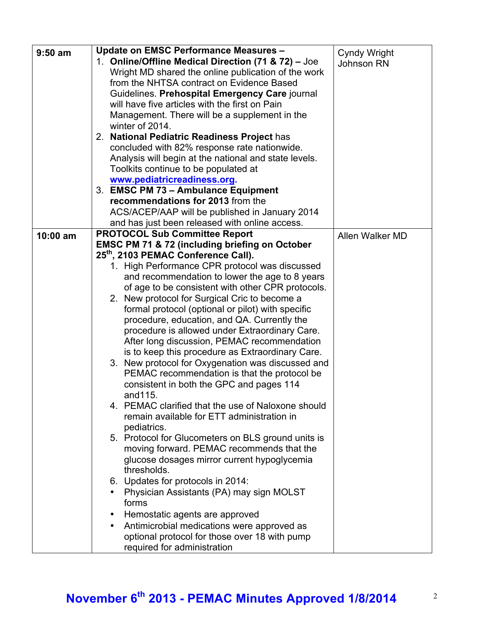| $9:50$ am  | Update on EMSC Performance Measures -                            |                     |
|------------|------------------------------------------------------------------|---------------------|
|            | 1. Online/Offline Medical Direction (71 & 72) - Joe              | <b>Cyndy Wright</b> |
|            | Wright MD shared the online publication of the work              | Johnson RN          |
|            | from the NHTSA contract on Evidence Based                        |                     |
|            | Guidelines. Prehospital Emergency Care journal                   |                     |
|            | will have five articles with the first on Pain                   |                     |
|            |                                                                  |                     |
|            | Management. There will be a supplement in the<br>winter of 2014. |                     |
|            |                                                                  |                     |
|            | 2. National Pediatric Readiness Project has                      |                     |
|            | concluded with 82% response rate nationwide.                     |                     |
|            | Analysis will begin at the national and state levels.            |                     |
|            | Toolkits continue to be populated at                             |                     |
|            | www.pediatricreadiness.org.                                      |                     |
|            | 3. EMSC PM 73 - Ambulance Equipment                              |                     |
|            | recommendations for 2013 from the                                |                     |
|            | ACS/ACEP/AAP will be published in January 2014                   |                     |
|            | and has just been released with online access.                   |                     |
| $10:00$ am | <b>PROTOCOL Sub Committee Report</b>                             | Allen Walker MD     |
|            | <b>EMSC PM 71 &amp; 72 (including briefing on October</b>        |                     |
|            | 25 <sup>th</sup> , 2103 PEMAC Conference Call).                  |                     |
|            | 1. High Performance CPR protocol was discussed                   |                     |
|            | and recommendation to lower the age to 8 years                   |                     |
|            | of age to be consistent with other CPR protocols.                |                     |
|            | 2. New protocol for Surgical Cric to become a                    |                     |
|            | formal protocol (optional or pilot) with specific                |                     |
|            | procedure, education, and QA. Currently the                      |                     |
|            | procedure is allowed under Extraordinary Care.                   |                     |
|            | After long discussion, PEMAC recommendation                      |                     |
|            | is to keep this procedure as Extraordinary Care.                 |                     |
|            | 3. New protocol for Oxygenation was discussed and                |                     |
|            | PEMAC recommendation is that the protocol be                     |                     |
|            | consistent in both the GPC and pages 114                         |                     |
|            | and115.                                                          |                     |
|            | 4. PEMAC clarified that the use of Naloxone should               |                     |
|            | remain available for ETT administration in                       |                     |
|            | pediatrics.                                                      |                     |
|            | 5. Protocol for Glucometers on BLS ground units is               |                     |
|            | moving forward. PEMAC recommends that the                        |                     |
|            | glucose dosages mirror current hypoglycemia                      |                     |
|            | thresholds.                                                      |                     |
|            | 6. Updates for protocols in 2014:                                |                     |
|            | Physician Assistants (PA) may sign MOLST                         |                     |
|            | forms                                                            |                     |
|            |                                                                  |                     |
|            | Hemostatic agents are approved                                   |                     |
|            | Antimicrobial medications were approved as                       |                     |
|            | optional protocol for those over 18 with pump                    |                     |
|            | required for administration                                      |                     |

# **November 6th 2013 - PEMAC Minutes Approved 1/8/2014** <sup>2</sup>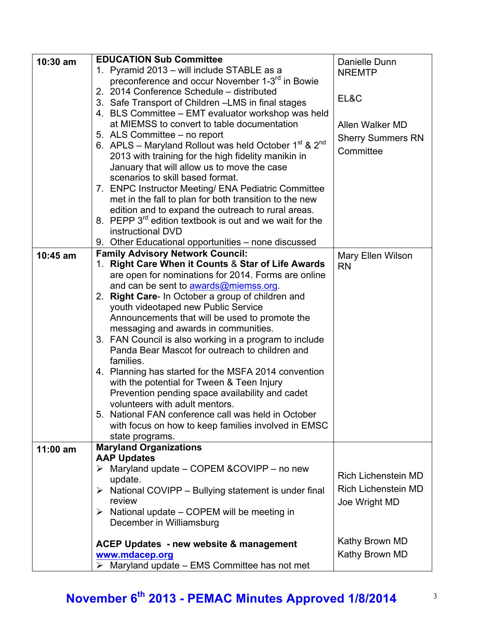| $10:30$ am | <b>EDUCATION Sub Committee</b>                                       | Danielle Dunn                  |
|------------|----------------------------------------------------------------------|--------------------------------|
|            | 1. Pyramid 2013 – will include STABLE as a                           | <b>NREMTP</b>                  |
|            | preconference and occur November 1-3 <sup>rd</sup> in Bowie          |                                |
|            | 2. 2014 Conference Schedule - distributed                            |                                |
|            | 3. Safe Transport of Children - LMS in final stages                  | EL&C                           |
|            | 4. BLS Committee - EMT evaluator workshop was held                   |                                |
|            | at MIEMSS to convert to table documentation                          | Allen Walker MD                |
|            | 5. ALS Committee - no report                                         | <b>Sherry Summers RN</b>       |
|            | 6. APLS – Maryland Rollout was held October $1^{st}$ & $2^{nd}$      |                                |
|            | 2013 with training for the high fidelity manikin in                  | Committee                      |
|            | January that will allow us to move the case                          |                                |
|            | scenarios to skill based format.                                     |                                |
|            | 7. ENPC Instructor Meeting/ ENA Pediatric Committee                  |                                |
|            | met in the fall to plan for both transition to the new               |                                |
|            | edition and to expand the outreach to rural areas.                   |                                |
|            | 8. PEPP 3 <sup>rd</sup> edition textbook is out and we wait for the  |                                |
|            | instructional DVD                                                    |                                |
|            | 9. Other Educational opportunities – none discussed                  |                                |
| $10:45$ am | <b>Family Advisory Network Council:</b>                              |                                |
|            | <b>Right Care When it Counts &amp; Star of Life Awards</b><br>1.     | Mary Ellen Wilson<br><b>RN</b> |
|            | are open for nominations for 2014. Forms are online                  |                                |
|            | and can be sent to awards@miemss.org.                                |                                |
|            | 2. Right Care- In October a group of children and                    |                                |
|            | youth videotaped new Public Service                                  |                                |
|            | Announcements that will be used to promote the                       |                                |
|            | messaging and awards in communities.                                 |                                |
|            | 3. FAN Council is also working in a program to include               |                                |
|            | Panda Bear Mascot for outreach to children and                       |                                |
|            | families.                                                            |                                |
|            | 4. Planning has started for the MSFA 2014 convention                 |                                |
|            | with the potential for Tween & Teen Injury                           |                                |
|            | Prevention pending space availability and cadet                      |                                |
|            | volunteers with adult mentors.                                       |                                |
|            | 5. National FAN conference call was held in October                  |                                |
|            | with focus on how to keep families involved in EMSC                  |                                |
|            | state programs.                                                      |                                |
| $11:00$ am | <b>Maryland Organizations</b>                                        |                                |
|            | <b>AAP Updates</b>                                                   |                                |
|            | $\triangleright$ Maryland update – COPEM & COVIPP – no new           |                                |
|            | update.                                                              | <b>Rich Lichenstein MD</b>     |
|            | $\triangleright$ National COVIPP – Bullying statement is under final | <b>Rich Lichenstein MD</b>     |
|            | review                                                               | Joe Wright MD                  |
|            | $\triangleright$ National update – COPEM will be meeting in          |                                |
|            | December in Williamsburg                                             |                                |
|            |                                                                      |                                |
|            | <b>ACEP Updates - new website &amp; management</b>                   | Kathy Brown MD                 |
|            | www.mdacep.org                                                       | Kathy Brown MD                 |
|            | $\triangleright$ Maryland update – EMS Committee has not met         |                                |

# **November 6th 2013 - PEMAC Minutes Approved 1/8/2014** <sup>3</sup>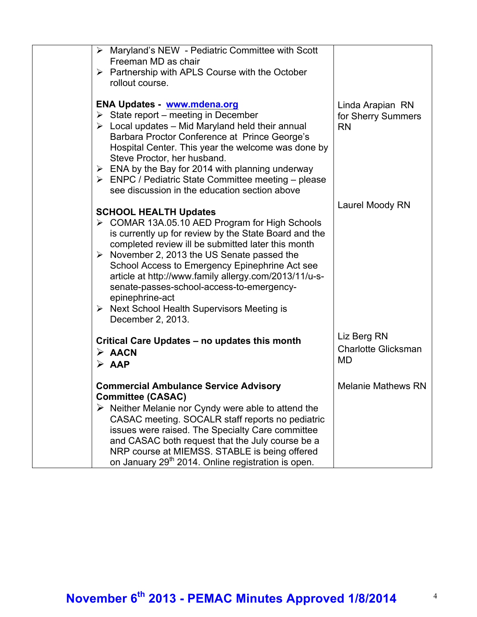| $\triangleright$ Maryland's NEW - Pediatric Committee with Scott<br>Freeman MD as chair<br>$\triangleright$ Partnership with APLS Course with the October                                                                                                                                                                                                                                                                                                                                                                 |                                                     |
|---------------------------------------------------------------------------------------------------------------------------------------------------------------------------------------------------------------------------------------------------------------------------------------------------------------------------------------------------------------------------------------------------------------------------------------------------------------------------------------------------------------------------|-----------------------------------------------------|
| rollout course.                                                                                                                                                                                                                                                                                                                                                                                                                                                                                                           |                                                     |
| <b>ENA Updates - www.mdena.org</b><br>$\triangleright$ State report – meeting in December<br>$\triangleright$ Local updates – Mid Maryland held their annual<br>Barbara Proctor Conference at Prince George's<br>Hospital Center. This year the welcome was done by<br>Steve Proctor, her husband.<br>$\triangleright$ ENA by the Bay for 2014 with planning underway<br>$\triangleright$ ENPC / Pediatric State Committee meeting – please<br>see discussion in the education section above                              | Linda Arapian RN<br>for Sherry Summers<br><b>RN</b> |
| <b>SCHOOL HEALTH Updates</b><br>▶ COMAR 13A.05.10 AED Program for High Schools<br>is currently up for review by the State Board and the<br>completed review ill be submitted later this month<br>$\triangleright$ November 2, 2013 the US Senate passed the<br>School Access to Emergency Epinephrine Act see<br>article at http://www.family allergy.com/2013/11/u-s-<br>senate-passes-school-access-to-emergency-<br>epinephrine-act<br>$\triangleright$ Next School Health Supervisors Meeting is<br>December 2, 2013. | Laurel Moody RN                                     |
| Critical Care Updates – no updates this month<br>$\triangleright$ AACN<br>$\triangleright$ AAP                                                                                                                                                                                                                                                                                                                                                                                                                            | Liz Berg RN<br><b>Charlotte Glicksman</b><br>MD     |
| <b>Commercial Ambulance Service Advisory</b><br><b>Committee (CASAC)</b><br>$\triangleright$ Neither Melanie nor Cyndy were able to attend the<br>CASAC meeting. SOCALR staff reports no pediatric<br>issues were raised. The Specialty Care committee<br>and CASAC both request that the July course be a<br>NRP course at MIEMSS. STABLE is being offered<br>on January 29 <sup>th</sup> 2014. Online registration is open.                                                                                             | <b>Melanie Mathews RN</b>                           |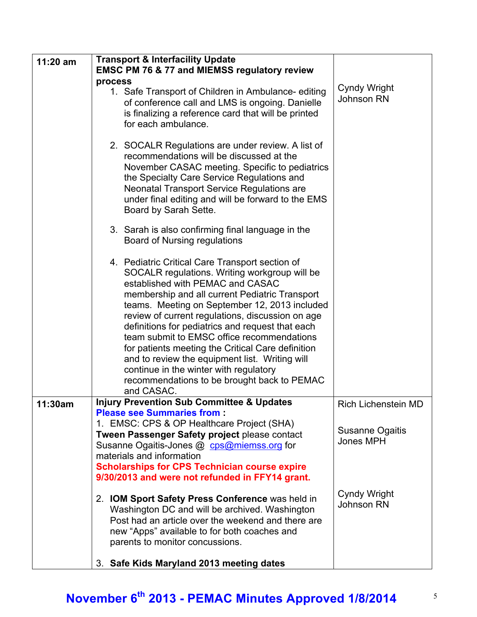| 11:20 am | <b>Transport &amp; Interfacility Update</b><br><b>EMSC PM 76 &amp; 77 and MIEMSS regulatory review</b>                                                                                                                                                                                                                                                                                                                                                                                                                                                                                                      |                                                                   |
|----------|-------------------------------------------------------------------------------------------------------------------------------------------------------------------------------------------------------------------------------------------------------------------------------------------------------------------------------------------------------------------------------------------------------------------------------------------------------------------------------------------------------------------------------------------------------------------------------------------------------------|-------------------------------------------------------------------|
|          | process<br>1. Safe Transport of Children in Ambulance-editing<br>of conference call and LMS is ongoing. Danielle<br>is finalizing a reference card that will be printed<br>for each ambulance.                                                                                                                                                                                                                                                                                                                                                                                                              | <b>Cyndy Wright</b><br>Johnson RN                                 |
|          | 2. SOCALR Regulations are under review. A list of<br>recommendations will be discussed at the<br>November CASAC meeting. Specific to pediatrics<br>the Specialty Care Service Regulations and<br><b>Neonatal Transport Service Regulations are</b><br>under final editing and will be forward to the EMS<br>Board by Sarah Sette.                                                                                                                                                                                                                                                                           |                                                                   |
|          | 3. Sarah is also confirming final language in the<br><b>Board of Nursing regulations</b>                                                                                                                                                                                                                                                                                                                                                                                                                                                                                                                    |                                                                   |
|          | 4. Pediatric Critical Care Transport section of<br>SOCALR regulations. Writing workgroup will be<br>established with PEMAC and CASAC<br>membership and all current Pediatric Transport<br>teams. Meeting on September 12, 2013 included<br>review of current regulations, discussion on age<br>definitions for pediatrics and request that each<br>team submit to EMSC office recommendations<br>for patients meeting the Critical Care definition<br>and to review the equipment list. Writing will<br>continue in the winter with regulatory<br>recommendations to be brought back to PEMAC<br>and CASAC. |                                                                   |
| 11:30am  | <b>Injury Prevention Sub Committee &amp; Updates</b><br><b>Please see Summaries from:</b><br>1. EMSC: CPS & OP Healthcare Project (SHA)<br>Tween Passenger Safety project please contact<br>Susanne Ogaitis-Jones @ cps@miemss.org for<br>materials and information<br><b>Scholarships for CPS Technician course expire</b><br>9/30/2013 and were not refunded in FFY14 grant.                                                                                                                                                                                                                              | <b>Rich Lichenstein MD</b><br><b>Susanne Ogaitis</b><br>Jones MPH |
|          | 2. IOM Sport Safety Press Conference was held in<br>Washington DC and will be archived. Washington<br>Post had an article over the weekend and there are<br>new "Apps" available to for both coaches and<br>parents to monitor concussions.                                                                                                                                                                                                                                                                                                                                                                 | <b>Cyndy Wright</b><br>Johnson RN                                 |
|          | 3. Safe Kids Maryland 2013 meeting dates                                                                                                                                                                                                                                                                                                                                                                                                                                                                                                                                                                    |                                                                   |

### **November 6th 2013 - PEMAC Minutes Approved 1/8/2014** <sup>5</sup>